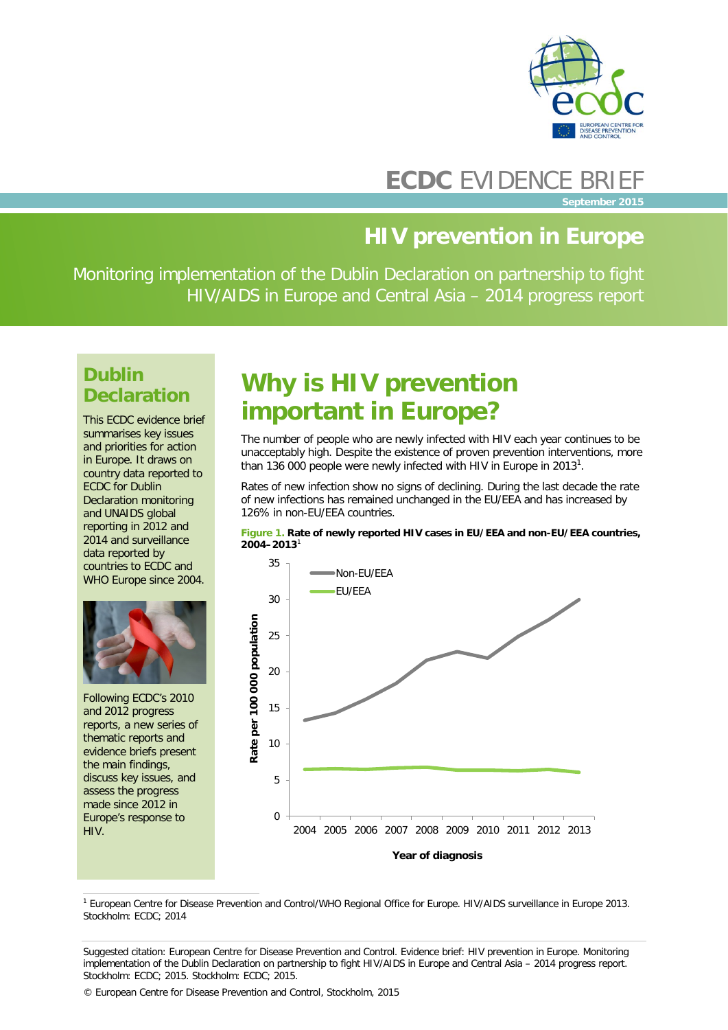

### **ECDC** EVIDENCE BRIEF

**September 2015**

### **HIV prevention in Europe**

Monitoring implementation of the Dublin Declaration on partnership to fight HIV/AIDS in Europe and Central Asia – 2014 progress report

### **Dublin Declaration**

This ECDC evidence brief summarises key issues and priorities for action in Europe. It draws on country data reported to ECDC for Dublin Declaration monitoring and UNAIDS global reporting in 2012 and 2014 and surveillance data reported by countries to ECDC and WHO Europe since 2004.



Following ECDC's 2010 and 2012 progress reports, a new series of thematic reports and evidence briefs present the main findings, discuss key issues, and assess the progress made since 2012 in Europe's response to HIV.

## **Why is HIV prevention important in Europe?**

The number of people who are newly infected with HIV each year continues to be unacceptably high. Despite the existence of proven prevention interventions, more than 136 000 people were newly infected with HIV in Europe in 2013<sup>1</sup>.

Rates of new infection show no signs of declining. During the last decade the rate of new infections has remained unchanged in the EU/EEA and has increased by 126% in non-EU/EEA countries.





 1 European Centre for Disease Prevention and Control/WHO Regional Office for Europe. HIV/AIDS surveillance in Europe 2013. Stockholm: ECDC; 2014

Suggested citation: European Centre for Disease Prevention and Control. Evidence brief: HIV prevention in Europe. Monitoring implementation of the Dublin Declaration on partnership to fight HIV/AIDS in Europe and Central Asia – 2014 progress report. Stockholm: ECDC; 2015. Stockholm: ECDC; 2015.

© European Centre for Disease Prevention and Control, Stockholm, 2015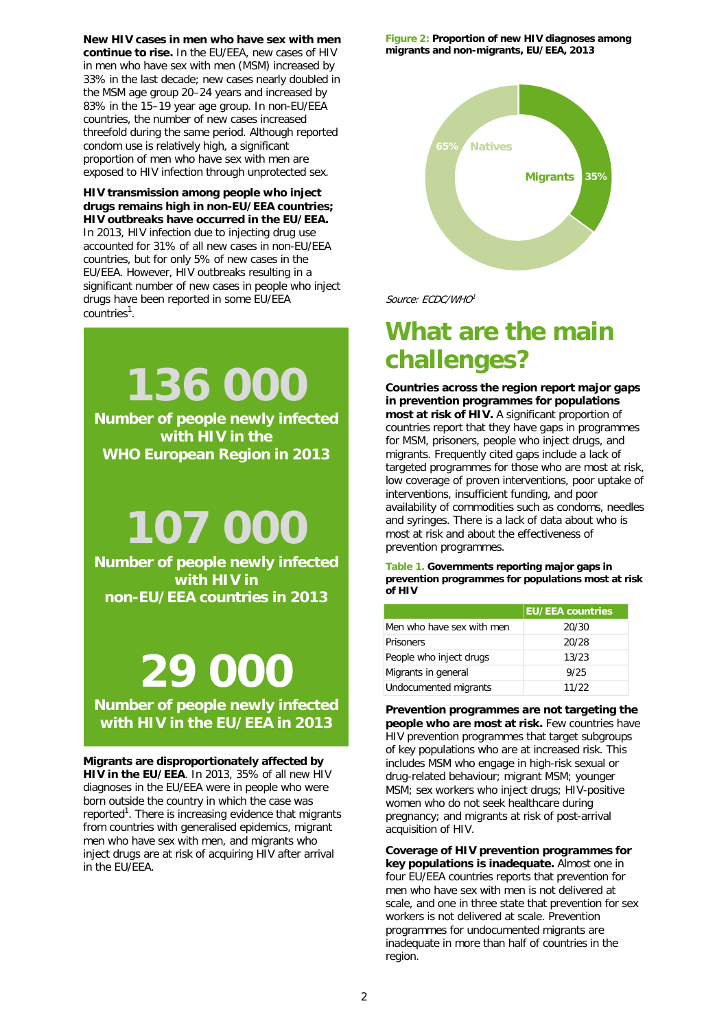**New HIV cases in men who have sex with men continue to rise.** In the EU/EEA, new cases of HIV in men who have sex with men (MSM) increased by 33% in the last decade; new cases nearly doubled in the MSM age group 20–24 years and increased by 83% in the 15–19 year age group. In non-EU/EEA countries, the number of new cases increased threefold during the same period. Although reported condom use is relatively high, a significant proportion of men who have sex with men are exposed to HIV infection through unprotected sex.

#### **HIV transmission among people who inject drugs remains high in non-EU/EEA countries; HIV outbreaks have occurred in the EU/EEA.**

In 2013, HIV infection due to injecting drug use accounted for 31% of all new cases in non-EU/EEA countries, but for only 5% of new cases in the EU/EEA. However, HIV outbreaks resulting in a significant number of new cases in people who inject drugs have been reported in some EU/EEA countries<sup>1</sup>.

**136 000**

**Number of people newly infected with HIV in the WHO European Region in 2013**

# **107 000**

**Number of people newly infected with HIV in non-EU/EEA countries in 2013**

# **29 000**

**Number of people newly infected with HIV in the EU/EEA in 2013**

**Migrants are disproportionately affected by HIV in the EU/EEA**. In 2013, 35% of all new HIV diagnoses in the EU/EEA were in people who were born outside the country in which the case was reported<sup>1</sup>. There is increasing evidence that migrants from countries with generalised epidemics, migrant men who have sex with men, and migrants who inject drugs are at risk of acquiring HIV after arrival in the EU/EEA.

**Figure 2: Proportion of new HIV diagnoses among migrants and non-migrants, EU/EEA, 2013**



Source: ECDC/WHO1

### **What are the main challenges?**

**Countries across the region report major gaps in prevention programmes for populations most at risk of HIV.** A significant proportion of countries report that they have gaps in programmes for MSM, prisoners, people who inject drugs, and migrants. Frequently cited gaps include a lack of targeted programmes for those who are most at risk, low coverage of proven interventions, poor uptake of interventions, insufficient funding, and poor availability of commodities such as condoms, needles and syringes. There is a lack of data about who is most at risk and about the effectiveness of prevention programmes.

**Table 1. Governments reporting major gaps in prevention programmes for populations most at risk of HIV**

|                           | <b>EU/EEA countries</b> |
|---------------------------|-------------------------|
| Men who have sex with men | 20/30                   |
| <b>Prisoners</b>          | 20/28                   |
| People who inject drugs   | 13/23                   |
| Migrants in general       | 9/25                    |
| Undocumented migrants     | 11/22                   |

**Prevention programmes are not targeting the people who are most at risk.** Few countries have HIV prevention programmes that target subgroups of key populations who are at increased risk. This includes MSM who engage in high-risk sexual or drug-related behaviour; migrant MSM; younger MSM; sex workers who inject drugs; HIV-positive women who do not seek healthcare during pregnancy; and migrants at risk of post-arrival acquisition of HIV.

**Coverage of HIV prevention programmes for key populations is inadequate.** Almost one in four EU/EEA countries reports that prevention for men who have sex with men is not delivered at scale, and one in three state that prevention for sex workers is not delivered at scale. Prevention programmes for undocumented migrants are inadequate in more than half of countries in the region.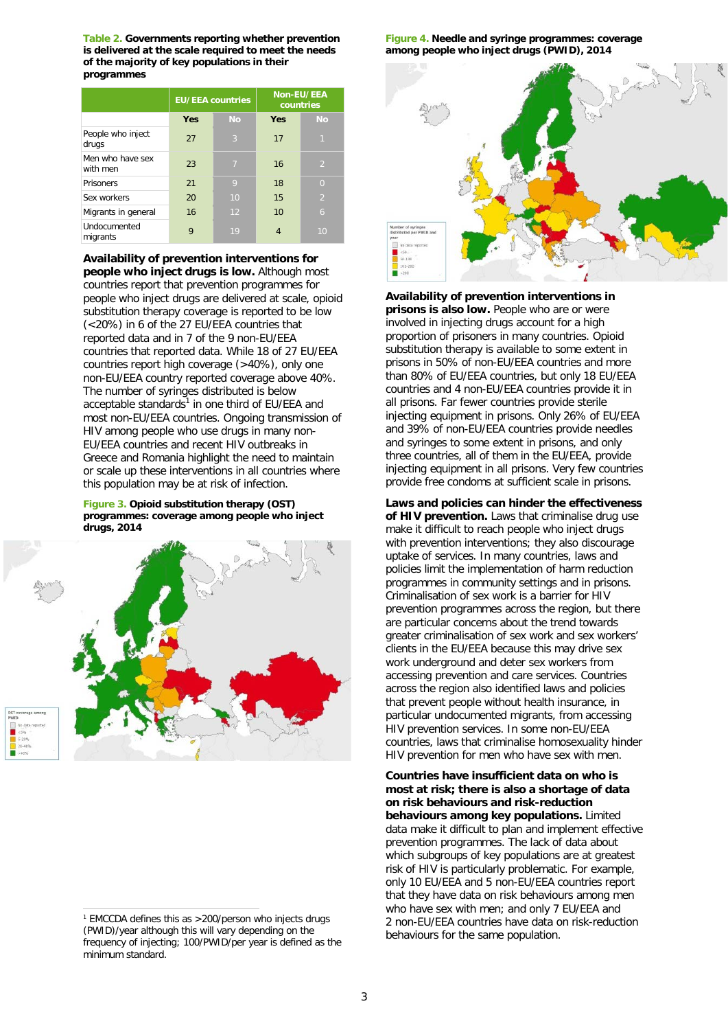**Table 2. Governments reporting whether prevention is delivered at the scale required to meet the needs of the majority of key populations in their programmes**

|                              | <b>EU/EEA countries</b> |                | Non-EU/EEA<br>countries |                |
|------------------------------|-------------------------|----------------|-------------------------|----------------|
|                              | <b>Yes</b>              | <b>No</b>      | <b>Yes</b>              | <b>No</b>      |
| People who inject<br>drugs   | 27                      | 3              | 17                      | $\mathbf{1}$   |
| Men who have sex<br>with men | 23                      | $\overline{7}$ | 16                      | 2              |
| Prisoners                    | 21                      | 9              | 18                      | $\overline{0}$ |
| Sex workers                  | 20                      | 10             | 15                      | $\overline{2}$ |
| Migrants in general          | 16                      | 12             | 10                      | 6              |
| Undocumented<br>migrants     | 9                       | 19             | 4                       | 10             |

**Availability of prevention interventions for people who inject drugs is low.** Although most countries report that prevention programmes for people who inject drugs are delivered at scale, opioid substitution therapy coverage is reported to be low (<20%) in 6 of the 27 EU/EEA countries that reported data and in 7 of the 9 non-EU/EEA countries that reported data. While 18 of 27 EU/EEA countries report high coverage (>40%), only one non-EU/EEA country reported coverage above 40%. The number of syringes distributed is below acceptable standards<sup>1</sup> in one third of EU/EEA and most non-EU/EEA countries. Ongoing transmission of HIV among people who use drugs in many non-EU/EEA countries and recent HIV outbreaks in Greece and Romania highlight the need to maintain or scale up these interventions in all countries where this population may be at risk of infection.

**Figure 3. Opioid substitution therapy (OST) programmes: coverage among people who inject drugs, 2014**



 1 EMCCDA defines this as >200/person who injects drugs (PWID)/year although this will vary depending on the frequency of injecting; 100/PWID/per year is defined as the minimum standard.

**Figure 4. Needle and syringe programmes: coverage among people who inject drugs (PWID), 2014**



**Availability of prevention interventions in prisons is also low.** People who are or were involved in injecting drugs account for a high proportion of prisoners in many countries. Opioid substitution therapy is available to some extent in prisons in 50% of non-EU/EEA countries and more than 80% of EU/EEA countries, but only 18 EU/EEA countries and 4 non-EU/EEA countries provide it in all prisons. Far fewer countries provide sterile injecting equipment in prisons. Only 26% of EU/EEA and 39% of non-EU/EEA countries provide needles and syringes to some extent in prisons, and only three countries, all of them in the EU/EEA, provide injecting equipment in all prisons. Very few countries provide free condoms at sufficient scale in prisons.

**Laws and policies can hinder the effectiveness of HIV prevention.** Laws that criminalise drug use make it difficult to reach people who inject drugs with prevention interventions; they also discourage uptake of services. In many countries, laws and policies limit the implementation of harm reduction programmes in community settings and in prisons. Criminalisation of sex work is a barrier for HIV prevention programmes across the region, but there are particular concerns about the trend towards greater criminalisation of sex work and sex workers' clients in the EU/EEA because this may drive sex work underground and deter sex workers from accessing prevention and care services. Countries across the region also identified laws and policies that prevent people without health insurance, in particular undocumented migrants, from accessing HIV prevention services. In some non-EU/EEA countries, laws that criminalise homosexuality hinder HIV prevention for men who have sex with men.

**Countries have insufficient data on who is most at risk; there is also a shortage of data on risk behaviours and risk-reduction behaviours among key populations.** Limited data make it difficult to plan and implement effective prevention programmes. The lack of data about which subgroups of key populations are at greatest risk of HIV is particularly problematic. For example, only 10 EU/EEA and 5 non-EU/EEA countries report that they have data on risk behaviours among men who have sex with men; and only 7 EU/EEA and 2 non-EU/EEA countries have data on risk-reduction behaviours for the same population.